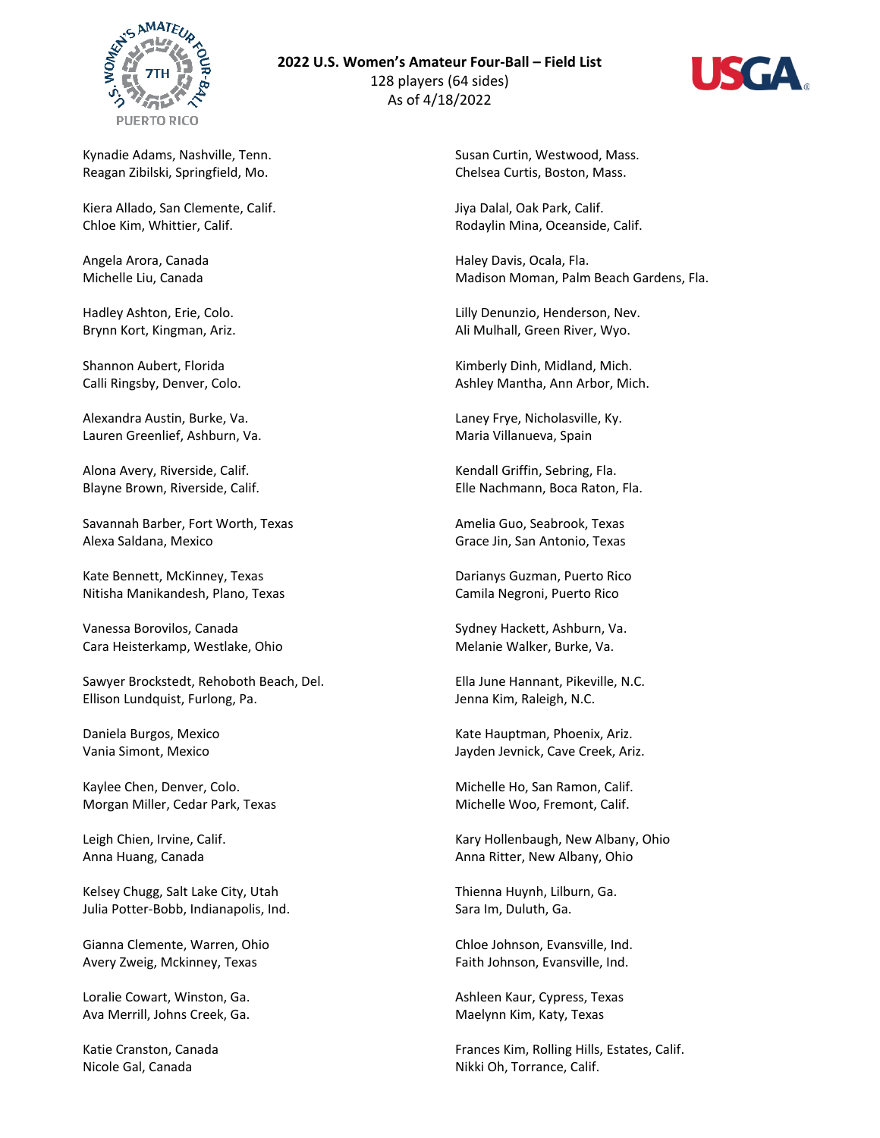

## **2022 U.S. Women's Amateur Four-Ball – Field List**

128 players (64 sides) As of 4/18/2022



Kynadie Adams, Nashville, Tenn. Reagan Zibilski, Springfield, Mo.

Kiera Allado, San Clemente, Calif. Chloe Kim, Whittier, Calif.

Angela Arora, Canada Michelle Liu, Canada

Hadley Ashton, Erie, Colo. Brynn Kort, Kingman, Ariz.

Shannon Aubert, Florida Calli Ringsby, Denver, Colo.

Alexandra Austin, Burke, Va. Lauren Greenlief, Ashburn, Va.

Alona Avery, Riverside, Calif. Blayne Brown, Riverside, Calif.

Savannah Barber, Fort Worth, Texas Alexa Saldana, Mexico

Kate Bennett, McKinney, Texas Nitisha Manikandesh, Plano, Texas

Vanessa Borovilos, Canada Cara Heisterkamp, Westlake, Ohio

Sawyer Brockstedt, Rehoboth Beach, Del. Ellison Lundquist, Furlong, Pa.

Daniela Burgos, Mexico Vania Simont, Mexico

Kaylee Chen, Denver, Colo. Morgan Miller, Cedar Park, Texas

Leigh Chien, Irvine, Calif. Anna Huang, Canada

Kelsey Chugg, Salt Lake City, Utah Julia Potter-Bobb, Indianapolis, Ind.

Gianna Clemente, Warren, Ohio Avery Zweig, Mckinney, Texas

Loralie Cowart, Winston, Ga. Ava Merrill, Johns Creek, Ga.

Katie Cranston, Canada Nicole Gal, Canada

Susan Curtin, Westwood, Mass. Chelsea Curtis, Boston, Mass.

Jiya Dalal, Oak Park, Calif. Rodaylin Mina, Oceanside, Calif.

Haley Davis, Ocala, Fla. Madison Moman, Palm Beach Gardens, Fla.

Lilly Denunzio, Henderson, Nev. Ali Mulhall, Green River, Wyo.

Kimberly Dinh, Midland, Mich. Ashley Mantha, Ann Arbor, Mich.

Laney Frye, Nicholasville, Ky. Maria Villanueva, Spain

Kendall Griffin, Sebring, Fla. Elle Nachmann, Boca Raton, Fla.

Amelia Guo, Seabrook, Texas Grace Jin, San Antonio, Texas

Darianys Guzman, Puerto Rico Camila Negroni, Puerto Rico

Sydney Hackett, Ashburn, Va. Melanie Walker, Burke, Va.

Ella June Hannant, Pikeville, N.C. Jenna Kim, Raleigh, N.C.

Kate Hauptman, Phoenix, Ariz. Jayden Jevnick, Cave Creek, Ariz.

Michelle Ho, San Ramon, Calif. Michelle Woo, Fremont, Calif.

Kary Hollenbaugh, New Albany, Ohio Anna Ritter, New Albany, Ohio

Thienna Huynh, Lilburn, Ga. Sara Im, Duluth, Ga.

Chloe Johnson, Evansville, Ind. Faith Johnson, Evansville, Ind.

Ashleen Kaur, Cypress, Texas Maelynn Kim, Katy, Texas

Frances Kim, Rolling Hills, Estates, Calif. Nikki Oh, Torrance, Calif.